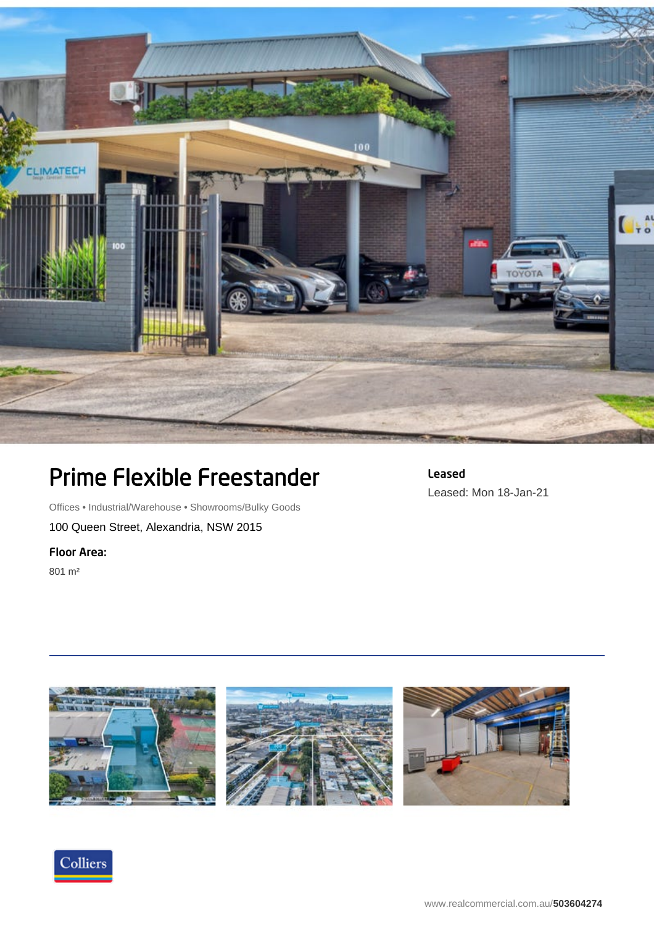

## Prime Flexible Freestander

Leased Leased: Mon 18-Jan-21

Offices • Industrial/Warehouse • Showrooms/Bulky Goods

100 Queen Street, Alexandria, NSW 2015

## Floor Area:

801 m²